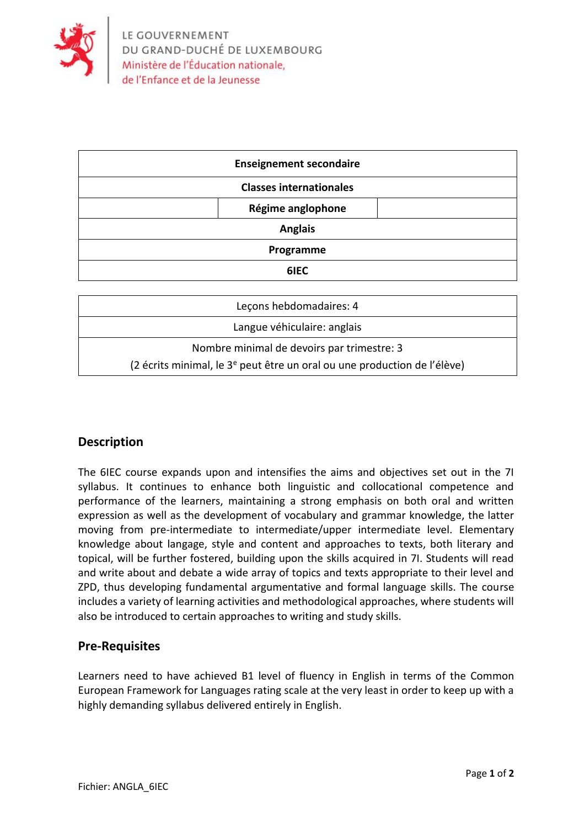

| <b>Enseignement secondaire</b> |                   |  |
|--------------------------------|-------------------|--|
| <b>Classes internationales</b> |                   |  |
|                                | Régime anglophone |  |
| <b>Anglais</b>                 |                   |  |
| Programme                      |                   |  |
|                                | 6IEC              |  |

| Leçons hebdomadaires: 4                                                              |  |  |
|--------------------------------------------------------------------------------------|--|--|
| Langue véhiculaire: anglais                                                          |  |  |
| Nombre minimal de devoirs par trimestre: 3                                           |  |  |
| (2 écrits minimal, le 3 <sup>e</sup> peut être un oral ou une production de l'élève) |  |  |

## **Description**

The 6IEC course expands upon and intensifies the aims and objectives set out in the 7I syllabus. It continues to enhance both linguistic and collocational competence and performance of the learners, maintaining a strong emphasis on both oral and written expression as well as the development of vocabulary and grammar knowledge, the latter moving from pre-intermediate to intermediate/upper intermediate level. Elementary knowledge about langage, style and content and approaches to texts, both literary and topical, will be further fostered, building upon the skills acquired in 7I. Students will read and write about and debate a wide array of topics and texts appropriate to their level and ZPD, thus developing fundamental argumentative and formal language skills. The course includes a variety of learning activities and methodological approaches, where students will also be introduced to certain approaches to writing and study skills.

### **Pre-Requisites**

Learners need to have achieved B1 level of fluency in English in terms of the Common European Framework for Languages rating scale at the very least in order to keep up with a highly demanding syllabus delivered entirely in English.